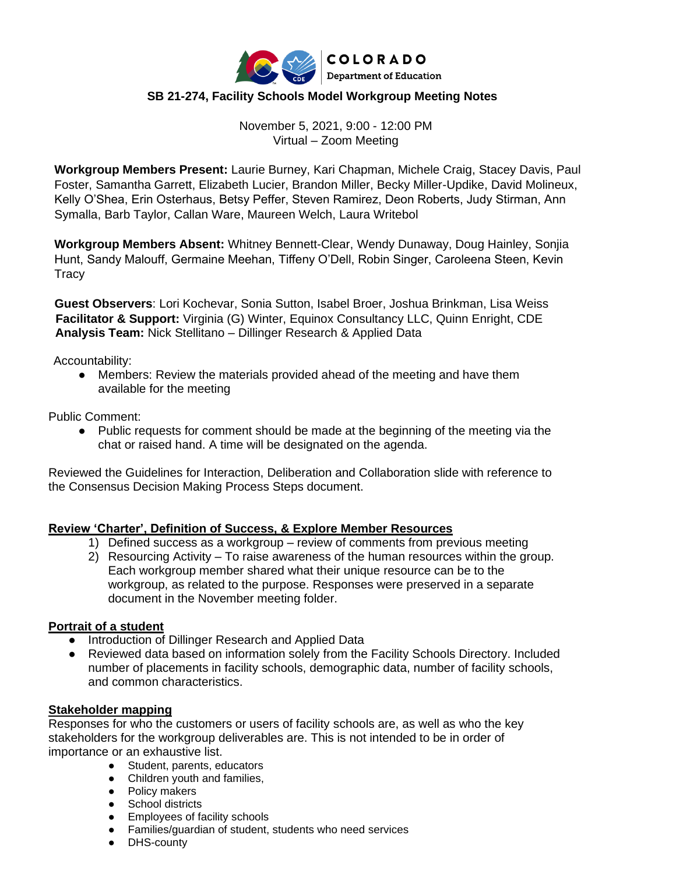

# **SB 21-274, Facility Schools Model Workgroup Meeting Notes**

November 5, 2021, 9:00 - 12:00 PM Virtual – Zoom Meeting

**Workgroup Members Present:** Laurie Burney, Kari Chapman, Michele Craig, Stacey Davis, Paul Foster, Samantha Garrett, Elizabeth Lucier, Brandon Miller, Becky Miller-Updike, David Molineux, Kelly O'Shea, Erin Osterhaus, Betsy Peffer, Steven Ramirez, Deon Roberts, Judy Stirman, Ann Symalla, Barb Taylor, Callan Ware, Maureen Welch, Laura Writebol

**Workgroup Members Absent:** Whitney Bennett-Clear, Wendy Dunaway, Doug Hainley, Sonjia Hunt, Sandy Malouff, Germaine Meehan, Tiffeny O'Dell, Robin Singer, Caroleena Steen, Kevin **Tracy** 

**Guest Observers**: Lori Kochevar, Sonia Sutton, Isabel Broer, Joshua Brinkman, Lisa Weiss **Facilitator & Support:** Virginia (G) Winter, Equinox Consultancy LLC, Quinn Enright, CDE  **Analysis Team:** Nick Stellitano – Dillinger Research & Applied Data

Accountability:

• Members: Review the materials provided ahead of the meeting and have them available for the meeting

Public Comment:

● Public requests for comment should be made at the beginning of the meeting via the chat or raised hand. A time will be designated on the agenda.

Reviewed the Guidelines for Interaction, Deliberation and Collaboration slide with reference to the Consensus Decision Making Process Steps document.

## **Review 'Charter', Definition of Success, & Explore Member Resources**

- 1) Defined success as a workgroup review of comments from previous meeting
- 2) Resourcing Activity To raise awareness of the human resources within the group. Each workgroup member shared what their unique resource can be to the workgroup, as related to the purpose. Responses were preserved in a separate document in the November meeting folder.

### **Portrait of a student**

- Introduction of Dillinger Research and Applied Data
- Reviewed data based on information solely from the Facility Schools Directory. Included number of placements in facility schools, demographic data, number of facility schools, and common characteristics.

## **Stakeholder mapping**

Responses for who the customers or users of facility schools are, as well as who the key stakeholders for the workgroup deliverables are. This is not intended to be in order of importance or an exhaustive list.

- Student, parents, educators
- Children youth and families,
- Policy makers
- School districts
- Employees of facility schools
- Families/guardian of student, students who need services
- DHS-county